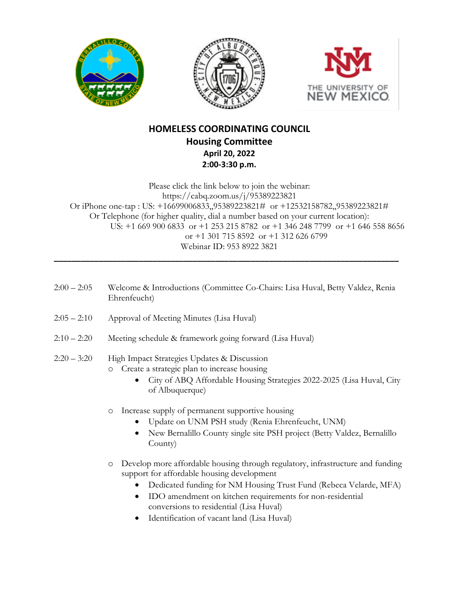





## **HOMELESS COORDINATING COUNCIL Housing Committee April 20, 2022 2:00-3:30 p.m.**

Please click the link below to join the webinar: https://cabq.zoom.us/j/95389223821 Or iPhone one-tap : US: +16699006833,,95389223821# or +12532158782,,95389223821# Or Telephone (for higher quality, dial a number based on your current location): US: +1 669 900 6833 or +1 253 215 8782 or +1 346 248 7799 or +1 646 558 8656 or +1 301 715 8592 or +1 312 626 6799 Webinar ID: 953 8922 3821

2:00 – 2:05 Welcome & Introductions (Committee Co-Chairs: Lisa Huval, Betty Valdez, Renia Ehrenfeucht) 2:05 – 2:10 Approval of Meeting Minutes (Lisa Huval)

**\_\_\_\_\_\_\_\_\_\_\_\_\_\_\_\_\_\_\_\_\_\_\_\_\_\_\_\_\_\_\_\_\_\_\_\_\_\_\_\_\_\_\_\_\_\_\_\_\_\_\_\_\_\_\_\_\_\_\_\_\_\_\_\_\_\_\_\_\_\_\_\_\_\_\_\_\_**

2:10 – 2:20 Meeting schedule & framework going forward (Lisa Huval)

## 2:20 – 3:20 High Impact Strategies Updates & Discussion o Create a strategic plan to increase housing

- City of ABQ Affordable Housing Strategies 2022-2025 (Lisa Huval, City of Albuquerque)
- o Increase supply of permanent supportive housing
	- Update on UNM PSH study (Renia Ehrenfeucht, UNM)
	- New Bernalillo County single site PSH project (Betty Valdez, Bernalillo County)
- o Develop more affordable housing through regulatory, infrastructure and funding support for affordable housing development
	- Dedicated funding for NM Housing Trust Fund (Rebeca Velarde, MFA)
	- IDO amendment on kitchen requirements for non-residential conversions to residential (Lisa Huval)
	- Identification of vacant land (Lisa Huval)